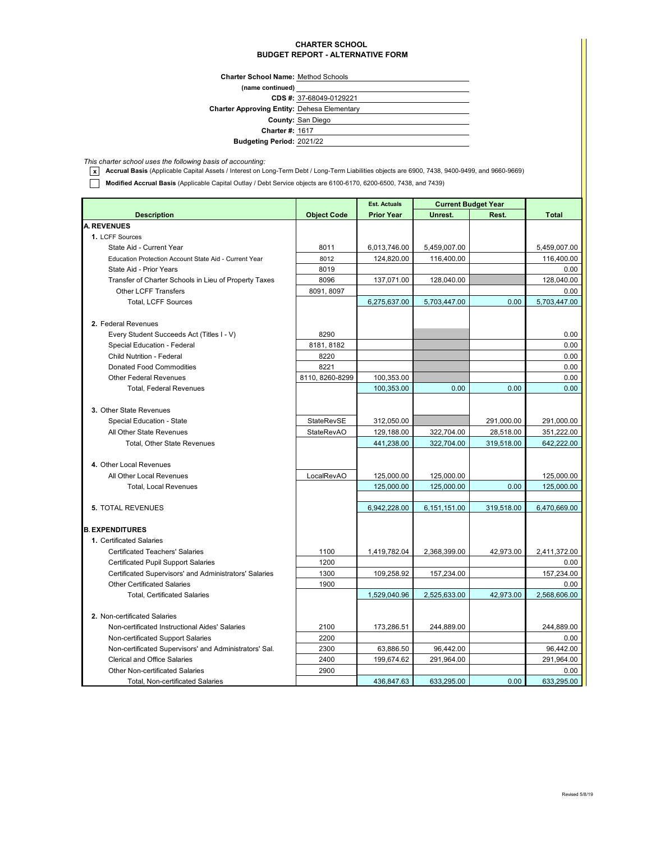## **CHARTER SCHOOL BUDGET REPORT - ALTERNATIVE FORM**

**Charter School Name:** Method Schools

| (name continued)                                   |                          |
|----------------------------------------------------|--------------------------|
|                                                    | CDS #: 37-68049-0129221  |
| <b>Charter Approving Entity: Dehesa Elementary</b> |                          |
|                                                    | <b>County: San Diego</b> |
| <b>Charter #: 1617</b>                             |                          |
| <b>Budgeting Period: 2021/22</b>                   |                          |

*This charter school uses the following basis of accounting:*

**x Accrual Basis** (Applicable Capital Assets / Interest on Long-Term Debt / Long-Term Liabilities objects are 6900, 7438, 9400-9499, and 9660-9669)

**Modified Accrual Basis** (Applicable Capital Outlay / Debt Service objects are 6100-6170, 6200-6500, 7438, and 7439)

|                                                        |                    | <b>Est. Actuals</b> |              | <b>Current Budget Year</b> |              |
|--------------------------------------------------------|--------------------|---------------------|--------------|----------------------------|--------------|
| <b>Description</b>                                     | <b>Object Code</b> | <b>Prior Year</b>   | Unrest.      | Rest.                      | <b>Total</b> |
| <b>A. REVENUES</b>                                     |                    |                     |              |                            |              |
| 1. LCFF Sources                                        |                    |                     |              |                            |              |
| State Aid - Current Year                               | 8011               | 6,013,746.00        | 5,459,007.00 |                            | 5,459,007.00 |
| Education Protection Account State Aid - Current Year  | 8012               | 124,820.00          | 116,400.00   |                            | 116,400.00   |
| State Aid - Prior Years                                | 8019               |                     |              |                            | 0.00         |
| Transfer of Charter Schools in Lieu of Property Taxes  | 8096               | 137,071.00          | 128,040.00   |                            | 128,040.00   |
| <b>Other LCFF Transfers</b>                            | 8091, 8097         |                     |              |                            | 0.00         |
| <b>Total, LCFF Sources</b>                             |                    | 6,275,637.00        | 5,703,447.00 | 0.00                       | 5,703,447.00 |
|                                                        |                    |                     |              |                            |              |
| 2. Federal Revenues                                    |                    |                     |              |                            |              |
| Every Student Succeeds Act (Titles I - V)              | 8290               |                     |              |                            | 0.00         |
| Special Education - Federal                            | 8181, 8182         |                     |              |                            | 0.00         |
| <b>Child Nutrition - Federal</b>                       | 8220               |                     |              |                            | 0.00         |
| <b>Donated Food Commodities</b>                        | 8221               |                     |              |                            | 0.00         |
| <b>Other Federal Revenues</b>                          | 8110, 8260-8299    | 100,353.00          |              |                            | 0.00         |
| <b>Total, Federal Revenues</b>                         |                    | 100,353.00          | 0.00         | 0.00                       | 0.00         |
|                                                        |                    |                     |              |                            |              |
| 3. Other State Revenues                                |                    |                     |              |                            |              |
| Special Education - State                              | <b>StateRevSE</b>  | 312,050.00          |              | 291,000.00                 | 291,000.00   |
| All Other State Revenues                               | <b>StateRevAO</b>  | 129,188.00          | 322,704.00   | 28,518.00                  | 351,222.00   |
| <b>Total, Other State Revenues</b>                     |                    | 441,238.00          | 322,704.00   | 319,518.00                 | 642,222.00   |
|                                                        |                    |                     |              |                            |              |
| 4. Other Local Revenues                                |                    |                     |              |                            |              |
| All Other Local Revenues                               | LocalRevAO         | 125,000.00          | 125,000.00   |                            | 125,000.00   |
| <b>Total, Local Revenues</b>                           |                    | 125,000.00          | 125,000.00   | 0.00                       | 125,000.00   |
|                                                        |                    |                     |              |                            |              |
| <b>5. TOTAL REVENUES</b>                               |                    | 6,942,228.00        | 6,151,151.00 | 319,518.00                 | 6,470,669.00 |
|                                                        |                    |                     |              |                            |              |
| <b>B. EXPENDITURES</b>                                 |                    |                     |              |                            |              |
| 1. Certificated Salaries                               |                    |                     |              |                            |              |
| <b>Certificated Teachers' Salaries</b>                 | 1100               | 1,419,782.04        | 2,368,399.00 | 42,973.00                  | 2,411,372.00 |
| <b>Certificated Pupil Support Salaries</b>             | 1200               |                     |              |                            | 0.00         |
| Certificated Supervisors' and Administrators' Salaries | 1300               | 109,258.92          | 157,234.00   |                            | 157,234.00   |
| <b>Other Certificated Salaries</b>                     | 1900               |                     |              |                            | 0.00         |
| <b>Total, Certificated Salaries</b>                    |                    | 1,529,040.96        | 2,525,633.00 | 42,973.00                  | 2,568,606.00 |
|                                                        |                    |                     |              |                            |              |
| 2. Non-certificated Salaries                           |                    |                     |              |                            |              |
| Non-certificated Instructional Aides' Salaries         | 2100               | 173,286.51          | 244,889.00   |                            | 244,889.00   |
| Non-certificated Support Salaries                      | 2200               |                     |              |                            | 0.00         |
| Non-certificated Supervisors' and Administrators' Sal. | 2300               | 63,886.50           | 96,442.00    |                            | 96,442.00    |
| Clerical and Office Salaries                           | 2400               | 199,674.62          | 291,964.00   |                            | 291,964.00   |
| <b>Other Non-certificated Salaries</b>                 | 2900               |                     |              |                            | 0.00         |
| Total, Non-certificated Salaries                       |                    | 436.847.63          | 633,295.00   | 0.00                       | 633,295.00   |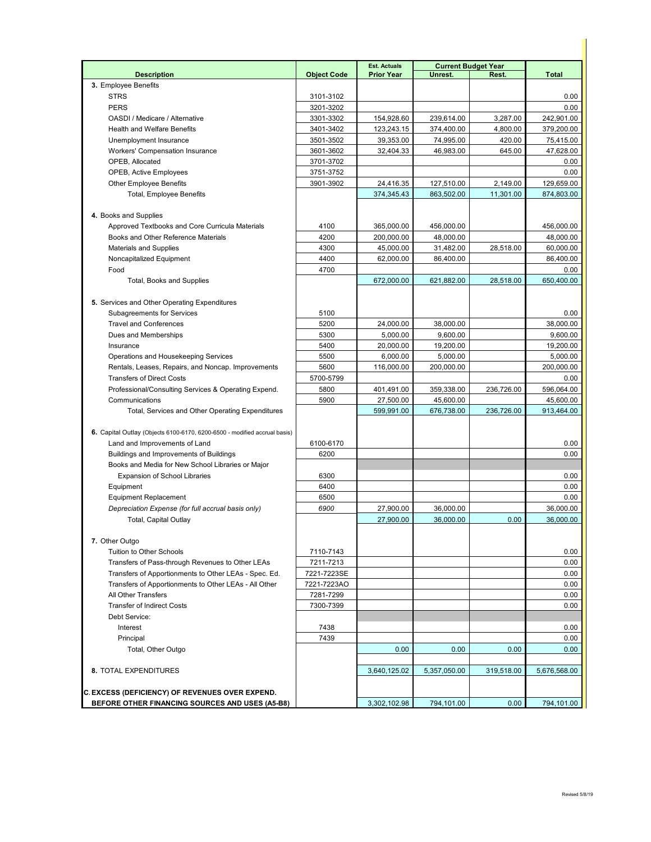|                                                                              |                    | <b>Est. Actuals</b> | <b>Current Budget Year</b> |            |              |
|------------------------------------------------------------------------------|--------------------|---------------------|----------------------------|------------|--------------|
| <b>Description</b>                                                           | <b>Object Code</b> | <b>Prior Year</b>   | Unrest.                    | Rest.      | <b>Total</b> |
| 3. Employee Benefits                                                         |                    |                     |                            |            |              |
| <b>STRS</b>                                                                  | 3101-3102          |                     |                            |            | 0.00         |
| <b>PERS</b>                                                                  | 3201-3202          |                     |                            |            | 0.00         |
| OASDI / Medicare / Alternative                                               | 3301-3302          | 154,928.60          | 239,614.00                 | 3,287.00   | 242,901.00   |
| <b>Health and Welfare Benefits</b>                                           | 3401-3402          | 123,243.15          | 374,400.00                 | 4,800.00   | 379,200.00   |
| Unemployment Insurance                                                       | 3501-3502          | 39,353.00           | 74,995.00                  | 420.00     | 75,415.00    |
| Workers' Compensation Insurance                                              | 3601-3602          | 32,404.33           | 46,983.00                  | 645.00     | 47,628.00    |
| OPEB, Allocated                                                              | 3701-3702          |                     |                            |            | 0.00         |
| OPEB, Active Employees                                                       | 3751-3752          |                     |                            |            | 0.00         |
|                                                                              |                    |                     |                            |            |              |
| <b>Other Employee Benefits</b>                                               | 3901-3902          | 24,416.35           | 127,510.00                 | 2,149.00   | 129,659.00   |
| <b>Total, Employee Benefits</b>                                              |                    | 374,345.43          | 863,502.00                 | 11,301.00  | 874,803.00   |
|                                                                              |                    |                     |                            |            |              |
| 4. Books and Supplies                                                        |                    |                     |                            |            |              |
| Approved Textbooks and Core Curricula Materials                              | 4100               | 365,000.00          | 456,000.00                 |            | 456,000.00   |
| Books and Other Reference Materials                                          | 4200               | 200,000.00          | 48,000.00                  |            | 48,000.00    |
| <b>Materials and Supplies</b>                                                | 4300               | 45,000.00           | 31,482.00                  | 28,518.00  | 60,000.00    |
| Noncapitalized Equipment                                                     | 4400               | 62,000.00           | 86,400.00                  |            | 86,400.00    |
| Food                                                                         | 4700               |                     |                            |            | 0.00         |
| Total, Books and Supplies                                                    |                    | 672,000.00          | 621,882.00                 | 28,518.00  | 650,400.00   |
|                                                                              |                    |                     |                            |            |              |
| 5. Services and Other Operating Expenditures                                 |                    |                     |                            |            |              |
| <b>Subagreements for Services</b>                                            | 5100               |                     |                            |            | 0.00         |
| <b>Travel and Conferences</b>                                                | 5200               | 24,000.00           | 38,000.00                  |            | 38,000.00    |
| Dues and Memberships                                                         | 5300               | 5,000.00            | 9.600.00                   |            | 9,600.00     |
| Insurance                                                                    | 5400               | 20,000.00           | 19,200.00                  |            | 19,200.00    |
| Operations and Housekeeping Services                                         | 5500               | 6,000.00            | 5,000.00                   |            | 5,000.00     |
| Rentals, Leases, Repairs, and Noncap. Improvements                           | 5600               | 116,000.00          | 200,000.00                 |            | 200,000.00   |
| <b>Transfers of Direct Costs</b>                                             | 5700-5799          |                     |                            |            | 0.00         |
| Professional/Consulting Services & Operating Expend.                         | 5800               | 401,491.00          | 359,338.00                 | 236,726.00 | 596,064.00   |
| Communications                                                               | 5900               | 27,500.00           | 45,600.00                  |            | 45,600.00    |
| Total, Services and Other Operating Expenditures                             |                    | 599,991.00          | 676,738.00                 | 236,726.00 | 913,464.00   |
|                                                                              |                    |                     |                            |            |              |
| 6. Capital Outlay (Objects 6100-6170, 6200-6500 - modified accrual basis)    |                    |                     |                            |            |              |
| Land and Improvements of Land                                                | 6100-6170          |                     |                            |            | 0.00         |
| Buildings and Improvements of Buildings                                      | 6200               |                     |                            |            | 0.00         |
| Books and Media for New School Libraries or Major                            |                    |                     |                            |            |              |
| <b>Expansion of School Libraries</b>                                         | 6300               |                     |                            |            | 0.00         |
| Equipment                                                                    | 6400               |                     |                            |            | 0.00         |
| <b>Equipment Replacement</b>                                                 | 6500               |                     |                            |            | 0.00         |
| Depreciation Expense (for full accrual basis only)                           | 6900               | 27,900.00           | 36,000.00                  |            | 36,000.00    |
| <b>Total, Capital Outlay</b>                                                 |                    | 27.900.00           | 36,000.00                  | 0.00       | 36,000.00    |
|                                                                              |                    |                     |                            |            |              |
| 7. Other Outgo                                                               |                    |                     |                            |            |              |
| Tuition to Other Schools                                                     | 7110-7143          |                     |                            |            | 0.00         |
| Transfers of Pass-through Revenues to Other LEAs                             | 7211-7213          |                     |                            |            | 0.00         |
| Transfers of Apportionments to Other LEAs - Spec. Ed.                        | 7221-7223SE        |                     |                            |            |              |
|                                                                              |                    |                     |                            |            | 0.00         |
| Transfers of Apportionments to Other LEAs - All Other<br>All Other Transfers | 7221-7223AO        |                     |                            |            | 0.00         |
|                                                                              | 7281-7299          |                     |                            |            | 0.00         |
| <b>Transfer of Indirect Costs</b>                                            | 7300-7399          |                     |                            |            | 0.00         |
| Debt Service:                                                                |                    |                     |                            |            |              |
| Interest                                                                     | 7438               |                     |                            |            | 0.00         |
| Principal                                                                    | 7439               |                     |                            |            | 0.00         |
| Total, Other Outgo                                                           |                    | 0.00                | 0.00                       | 0.00       | 0.00         |
|                                                                              |                    |                     |                            |            |              |
| 8. TOTAL EXPENDITURES                                                        |                    | 3,640,125.02        | 5,357,050.00               | 319,518.00 | 5,676,568.00 |
|                                                                              |                    |                     |                            |            |              |
| C. EXCESS (DEFICIENCY) OF REVENUES OVER EXPEND.                              |                    |                     |                            |            |              |
| BEFORE OTHER FINANCING SOURCES AND USES (A5-B8)                              |                    | 3,302,102.98        | 794,101.00                 | 0.00       | 794,101.00   |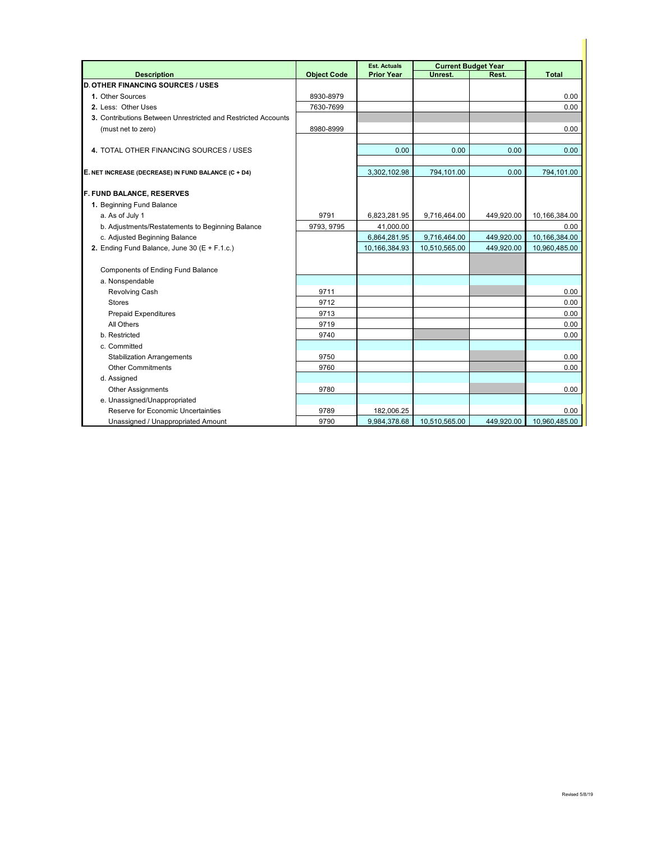|                                                               |                    | <b>Est. Actuals</b> |               |                                     |               |
|---------------------------------------------------------------|--------------------|---------------------|---------------|-------------------------------------|---------------|
| <b>Description</b>                                            | <b>Object Code</b> | <b>Prior Year</b>   | Unrest.       | <b>Current Budget Year</b><br>Rest. | <b>Total</b>  |
| <b>D. OTHER FINANCING SOURCES / USES</b>                      |                    |                     |               |                                     |               |
| 1. Other Sources                                              | 8930-8979          |                     |               |                                     | 0.00          |
| 2. Less: Other Uses                                           | 7630-7699          |                     |               |                                     | 0.00          |
| 3. Contributions Between Unrestricted and Restricted Accounts |                    |                     |               |                                     |               |
| (must net to zero)                                            | 8980-8999          |                     |               |                                     | 0.00          |
|                                                               |                    |                     |               |                                     |               |
| 4. TOTAL OTHER FINANCING SOURCES / USES                       |                    | 0.00                | 0.00          | 0.00                                | 0.00          |
|                                                               |                    |                     |               |                                     |               |
| E. NET INCREASE (DECREASE) IN FUND BALANCE (C + D4)           |                    | 3,302,102.98        | 794,101.00    | 0.00                                | 794,101.00    |
| <b>F. FUND BALANCE, RESERVES</b>                              |                    |                     |               |                                     |               |
| 1. Beginning Fund Balance                                     |                    |                     |               |                                     |               |
| a. As of July 1                                               | 9791               | 6,823,281.95        | 9,716,464.00  | 449,920.00                          | 10,166,384.00 |
| b. Adjustments/Restatements to Beginning Balance              | 9793, 9795         | 41.000.00           |               |                                     | 0.00          |
| c. Adjusted Beginning Balance                                 |                    | 6,864,281.95        | 9,716,464.00  | 449,920.00                          | 10,166,384.00 |
| 2. Ending Fund Balance, June 30 ( $E + F.1.c.$ )              |                    | 10,166,384.93       | 10,510,565.00 | 449,920.00                          | 10,960,485.00 |
|                                                               |                    |                     |               |                                     |               |
| <b>Components of Ending Fund Balance</b>                      |                    |                     |               |                                     |               |
| a. Nonspendable                                               |                    |                     |               |                                     |               |
| <b>Revolving Cash</b>                                         | 9711               |                     |               |                                     | 0.00          |
| <b>Stores</b>                                                 | 9712               |                     |               |                                     | 0.00          |
| <b>Prepaid Expenditures</b>                                   | 9713               |                     |               |                                     | 0.00          |
| All Others                                                    | 9719               |                     |               |                                     | 0.00          |
| b. Restricted                                                 | 9740               |                     |               |                                     | 0.00          |
| c. Committed                                                  |                    |                     |               |                                     |               |
| <b>Stabilization Arrangements</b>                             | 9750               |                     |               |                                     | 0.00          |
| <b>Other Commitments</b>                                      | 9760               |                     |               |                                     | 0.00          |
| d. Assigned                                                   |                    |                     |               |                                     |               |
| <b>Other Assignments</b>                                      | 9780               |                     |               |                                     | 0.00          |
| e. Unassigned/Unappropriated                                  |                    |                     |               |                                     |               |
| Reserve for Economic Uncertainties                            | 9789               | 182,006.25          |               |                                     | 0.00          |
| Unassigned / Unappropriated Amount                            | 9790               | 9,984,378.68        | 10,510,565.00 | 449,920.00                          | 10,960,485.00 |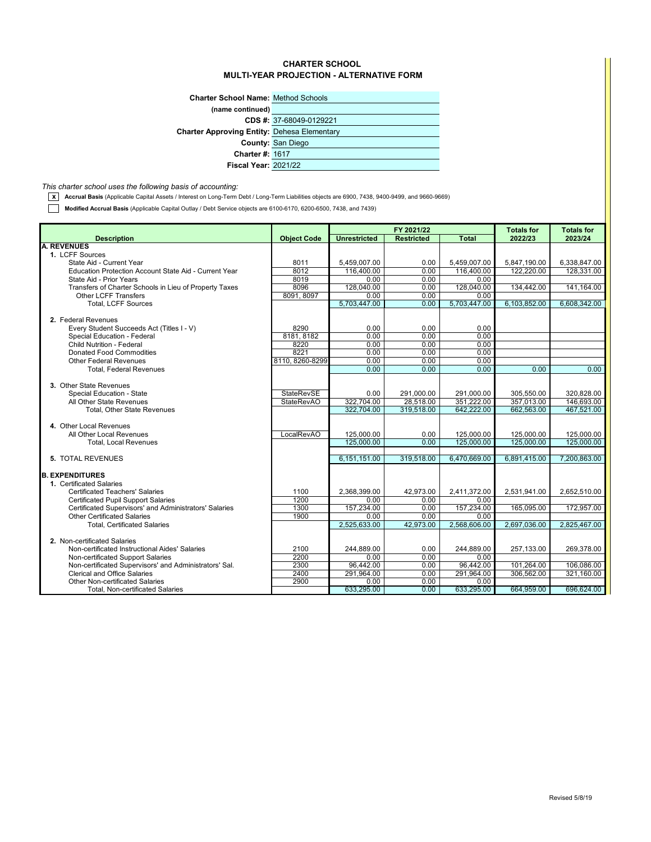## **CHARTER SCHOOL MULTI-YEAR PROJECTION - ALTERNATIVE FORM**

| <b>Charter School Name: Method Schools</b>         |                          |
|----------------------------------------------------|--------------------------|
| (name continued)                                   |                          |
|                                                    | CDS #: 37-68049-0129221  |
| <b>Charter Approving Entity: Dehesa Elementary</b> |                          |
|                                                    | <b>County: San Diego</b> |
| <b>Charter #: 1617</b>                             |                          |
| <b>Fiscal Year: 2021/22</b>                        |                          |

## *This charter school uses the following basis of accounting:*

**x** Accrual Basis (Applicable Capital Assets / Interest on Long-Term Debt / Long-Term Liabilities objects are 6900, 7438, 9400-9499, and 9660-9669)

**Modified Accrual Basis** (Applicable Capital Outlay / Debt Service objects are 6100-6170, 6200-6500, 7438, and 7439)

|                                                                                        |                    |                     | FY 2021/22        |                    | <b>Totals for</b> | <b>Totals for</b> |
|----------------------------------------------------------------------------------------|--------------------|---------------------|-------------------|--------------------|-------------------|-------------------|
| <b>Description</b>                                                                     | <b>Object Code</b> | <b>Unrestricted</b> | <b>Restricted</b> | <b>Total</b>       | 2022/23           | 2023/24           |
| <b>A. REVENUES</b>                                                                     |                    |                     |                   |                    |                   |                   |
| 1. LCFF Sources                                                                        |                    |                     |                   |                    |                   |                   |
| State Aid - Current Year                                                               | 8011               | 5,459,007.00        | 0.00              | 5,459,007.00       | 5,847,190.00      | 6,338,847.00      |
| Education Protection Account State Aid - Current Year                                  | 8012               | 116.400.00          | 0.00              | 116.400.00         | 122,220.00        | 128.331.00        |
| State Aid - Prior Years                                                                | 8019               | 0.00                | 0.00              | 0.00               |                   |                   |
| Transfers of Charter Schools in Lieu of Property Taxes                                 | 8096               | 128,040.00          | 0.00              | 128,040.00         | 134,442.00        | 141,164.00        |
| <b>Other LCFF Transfers</b>                                                            | 8091, 8097         | 0.00                | 0.00              | 0.00               |                   |                   |
| <b>Total. LCFF Sources</b>                                                             |                    | 5,703,447.00        | 0.00              | 5,703,447.00       | 6,103,852.00      | 6,608,342.00      |
| 2. Federal Revenues                                                                    |                    |                     |                   |                    |                   |                   |
| Every Student Succeeds Act (Titles I - V)                                              | 8290               | 0.00                | 0.00              | 0.00               |                   |                   |
| Special Education - Federal                                                            | 8181, 8182         | 0.00                | 0.00              | 0.00               |                   |                   |
| <b>Child Nutrition - Federal</b>                                                       | 8220               | 0.00                | 0.00              | 0.00               |                   |                   |
| <b>Donated Food Commodities</b>                                                        | 8221               | 0.00                | 0.00              | 0.00               |                   |                   |
| <b>Other Federal Revenues</b>                                                          | 8110, 8260-8299    | 0.00                | 0.00              | 0.00               |                   |                   |
| <b>Total, Federal Revenues</b>                                                         |                    | 0.00                | 0.00              | 0.00               | 0.00              | 0.00              |
|                                                                                        |                    |                     |                   |                    |                   |                   |
| 3. Other State Revenues                                                                |                    |                     |                   |                    |                   |                   |
| Special Education - State                                                              | <b>StateRevSE</b>  | 0.00                | 291.000.00        | 291.000.00         | 305.550.00        | 320,828.00        |
| All Other State Revenues                                                               | <b>StateRevAO</b>  | 322,704.00          | 28,518.00         | 351,222.00         | 357,013.00        | 146,693.00        |
| <b>Total, Other State Revenues</b>                                                     |                    | 322.704.00          | 319,518.00        | 642,222.00         | 662,563.00        | 467,521.00        |
|                                                                                        |                    |                     |                   |                    |                   |                   |
| 4. Other Local Revenues                                                                |                    |                     |                   |                    |                   |                   |
| All Other Local Revenues                                                               | LocalRevAO         | 125,000.00          | 0.00              | 125,000.00         | 125,000.00        | 125,000.00        |
| <b>Total, Local Revenues</b>                                                           |                    | 125,000.00          | 0.00              | 125,000.00         | 125,000.00        | 125,000.00        |
|                                                                                        |                    |                     |                   |                    |                   |                   |
| <b>5. TOTAL REVENUES</b>                                                               |                    | 6,151,151.00        | 319,518.00        | 6,470,669.00       | 6,891,415.00      | 7,200,863.00      |
| <b>B. EXPENDITURES</b>                                                                 |                    |                     |                   |                    |                   |                   |
| 1. Certificated Salaries                                                               |                    |                     |                   |                    |                   |                   |
| <b>Certificated Teachers' Salaries</b>                                                 | 1100               | 2.368.399.00        | 42.973.00         | 2.411.372.00       | 2.531.941.00      | 2,652,510.00      |
| <b>Certificated Pupil Support Salaries</b>                                             | 1200               | 0.00                | 0.00              | 0.00               |                   |                   |
| Certificated Supervisors' and Administrators' Salaries                                 | 1300               | 157,234.00          | 0.00              | 157,234.00         | 165,095.00        | 172,957.00        |
| <b>Other Certificated Salaries</b>                                                     | 1900               | 0.00                | 0.00              | 0.00               |                   |                   |
| <b>Total, Certificated Salaries</b>                                                    |                    | 2.525.633.00        | 42.973.00         | 2.568.606.00       | 2.697.036.00      | 2,825,467.00      |
|                                                                                        |                    |                     |                   |                    |                   |                   |
| 2. Non-certificated Salaries                                                           |                    |                     |                   |                    |                   |                   |
| Non-certificated Instructional Aides' Salaries                                         | 2100               | 244.889.00          | 0.00              | 244.889.00         | 257.133.00        | 269.378.00        |
| Non-certificated Support Salaries                                                      | 2200<br>2300       | 0.00                | 0.00              | 0.00               |                   |                   |
| Non-certificated Supervisors' and Administrators' Sal.<br>Clerical and Office Salaries | 2400               | 96,442.00           | 0.00<br>0.00      | 96.442.00          | 101,264.00        | 106,086.00        |
| <b>Other Non-certificated Salaries</b>                                                 | 2900               | 291,964.00<br>0.00  | 0.00              | 291,964.00<br>0.00 | 306,562.00        | 321,160.00        |
| <b>Total. Non-certificated Salaries</b>                                                |                    | 633,295.00          | 0.00              | 633,295.00         | 664.959.00        | 696,624.00        |
|                                                                                        |                    |                     |                   |                    |                   |                   |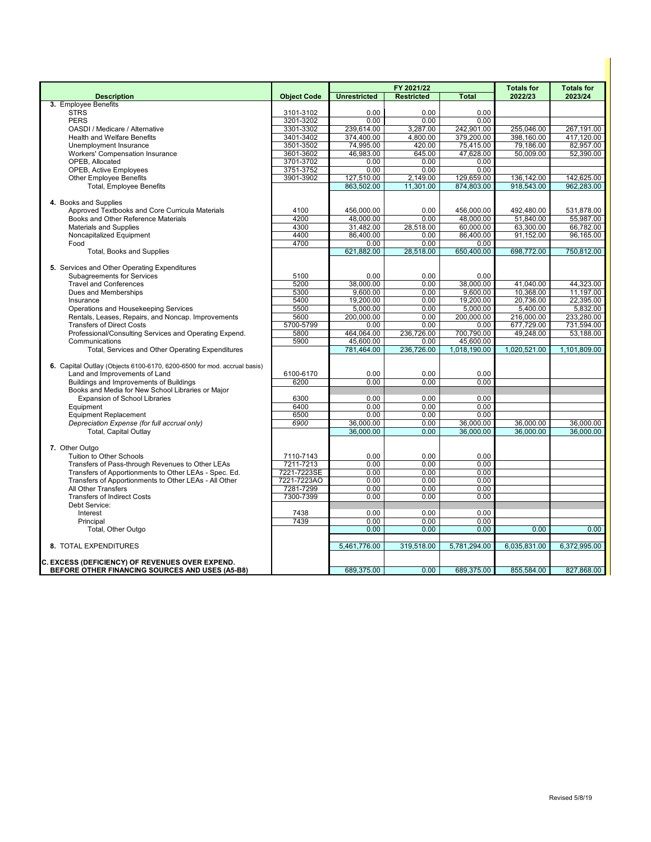| <b>Description</b><br><b>Object Code</b><br><b>Unrestricted</b><br><b>Restricted</b><br><b>Total</b><br>2022/23<br>2023/24<br>3. Employee Benefits<br><b>STRS</b><br>0.00<br>3101-3102<br>0.00<br>0.00<br><b>PERS</b><br>3201-3202<br>0.00<br>0.00<br>0.00<br>3301-3302<br>242,901.00<br>239.614.00<br>3,287.00<br>255.046.00<br>267.191.00<br>OASDI / Medicare / Alternative<br>379,200.00<br>398.160.00<br>3401-3402<br>374.400.00<br>4.800.00<br>417.120.00<br><b>Health and Welfare Benefits</b><br>3501-3502<br>74,995.00<br>420.00<br>75,415.00<br>79,186.00<br>82,957.00<br>Unemployment Insurance<br><b>Workers' Compensation Insurance</b><br>3601-3602<br>46,983.00<br>645.00<br>47,628.00<br>50,009.00<br>52,390.00<br>3701-3702<br>OPEB, Allocated<br>0.00<br>0.00<br>0.00<br>3751-3752<br>0.00<br><b>OPEB, Active Employees</b><br>0.00<br>0.00<br><b>Other Employee Benefits</b><br>3901-3902<br>127,510.00<br>2,149.00<br>129,659.00<br>136,142.00<br>142,625.00<br>863,502.00<br>11,301.00<br>874,803.00<br>918,543.00<br>962,283.00<br>Total, Employee Benefits<br>4. Books and Supplies<br>Approved Textbooks and Core Curricula Materials<br>456,000.00<br>456,000.00<br>492,480.00<br>4100<br>0.00<br>531,878.00<br>4200<br>48.000.00<br>48.000.00<br>Books and Other Reference Materials<br>0.00<br>51.840.00<br>55.987.00<br>4300<br>28,518.00<br>60,000.00<br>63,300.00<br><b>Materials and Supplies</b><br>31,482.00<br>66,782.00<br>4400<br>86,400.00<br>86,400.00<br>91,152.00<br>96,165.00<br>Noncapitalized Equipment<br>0.00<br>Food<br>4700<br>0.00<br>0.00<br>0.00<br>621,882.00<br>28.518.00<br>650.400.00<br>698,772.00<br>750.812.00<br>Total, Books and Supplies<br>5. Services and Other Operating Expenditures<br><b>Subagreements for Services</b><br>5100<br>0.00<br>0.00<br>0.00<br>38,000.00<br>38,000.00<br><b>Travel and Conferences</b><br>5200<br>0.00<br>41,040.00<br>44,323.00<br>10,368.00<br>Dues and Memberships<br>5300<br>9,600.00<br>0.00<br>9,600.00<br>11,197.00<br>0.00<br>20,736.00<br>22,395.00<br>5400<br>19,200.00<br>19,200.00<br>Insurance<br>5,000.00<br>5,400.00<br>5,832.00<br>5500<br>0.00<br>5,000.00<br>Operations and Housekeeping Services<br>Rentals, Leases, Repairs, and Noncap. Improvements<br>5600<br>200.000.00<br>0.00<br>200.000.00<br>216,000.00<br>233,280.00<br><b>Transfers of Direct Costs</b><br>5700-5799<br>0.00<br>0.00<br>677,729.00<br>731,594.00<br>0.00<br>Professional/Consulting Services and Operating Expend.<br>5800<br>464,064.00<br>236.726.00<br>700,790.00<br>49,248.00<br>53,188.00<br>45,600.00<br>Communications<br>5900<br>0.00<br>45,600.00<br>781,464.00<br>1,018,190.00<br>Total, Services and Other Operating Expenditures<br>236,726.00<br>1,020,521.00<br>1,101,809.00<br>6. Capital Outlay (Objects 6100-6170, 6200-6500 for mod. accrual basis)<br>Land and Improvements of Land<br>6100-6170<br>0.00<br>0.00<br>0.00<br>Buildings and Improvements of Buildings<br>6200<br>0.00<br>0.00<br>0.00<br>Books and Media for New School Libraries or Major<br>0.00<br>0.00<br>0.00<br><b>Expansion of School Libraries</b><br>6300<br>6400<br>0.00<br>0.00<br>0.00<br>Equipment<br>Equipment Replacement<br>6500<br>0.00<br>0.00<br>0.00<br>Depreciation Expense (for full accrual only)<br>6900<br>36,000.00<br>0.00<br>36,000.00<br>36,000.00<br>36,000.00<br>36,000.00<br><b>Total, Capital Outlay</b><br>0.00<br>36,000.00<br>36,000.00<br>36,000.00<br>7. Other Outgo<br>Tuition to Other Schools<br>7110-7143<br>0.00<br>0.00<br>0.00<br>Transfers of Pass-through Revenues to Other LEAs<br>7211-7213<br>0.00<br>0.00<br>0.00<br>7221-7223SE<br>0.00<br>Transfers of Apportionments to Other LEAs - Spec. Ed.<br>0.00<br>0.00<br>Transfers of Apportionments to Other LEAs - All Other<br>7221-7223AO<br>0.00<br>0.00<br>0.00<br>7281-7299<br>All Other Transfers<br>0.00<br>0.00<br>0.00<br>7300-7399<br>0.00<br>0.00<br>0.00<br><b>Transfers of Indirect Costs</b><br>Debt Service:<br>0.00<br>0.00<br>Interest<br>7438<br>0.00<br>7439<br>0.00<br>0.00<br>0.00<br>Principal<br>Total, Other Outgo<br>0.00<br>0.00<br>0.00<br>0.00<br>0.00<br>8. TOTAL EXPENDITURES<br>5,461,776.00<br>319,518.00<br>5,781,294.00<br>6,035,831.00<br>6,372,995.00<br>C. EXCESS (DEFICIENCY) OF REVENUES OVER EXPEND.<br>BEFORE OTHER FINANCING SOURCES AND USES (A5-B8)<br>689,375.00<br>0.00<br>689,375.00<br>855,584.00<br>827,868.00 |  | FY 2021/22 | <b>Totals for</b> | <b>Totals for</b> |
|----------------------------------------------------------------------------------------------------------------------------------------------------------------------------------------------------------------------------------------------------------------------------------------------------------------------------------------------------------------------------------------------------------------------------------------------------------------------------------------------------------------------------------------------------------------------------------------------------------------------------------------------------------------------------------------------------------------------------------------------------------------------------------------------------------------------------------------------------------------------------------------------------------------------------------------------------------------------------------------------------------------------------------------------------------------------------------------------------------------------------------------------------------------------------------------------------------------------------------------------------------------------------------------------------------------------------------------------------------------------------------------------------------------------------------------------------------------------------------------------------------------------------------------------------------------------------------------------------------------------------------------------------------------------------------------------------------------------------------------------------------------------------------------------------------------------------------------------------------------------------------------------------------------------------------------------------------------------------------------------------------------------------------------------------------------------------------------------------------------------------------------------------------------------------------------------------------------------------------------------------------------------------------------------------------------------------------------------------------------------------------------------------------------------------------------------------------------------------------------------------------------------------------------------------------------------------------------------------------------------------------------------------------------------------------------------------------------------------------------------------------------------------------------------------------------------------------------------------------------------------------------------------------------------------------------------------------------------------------------------------------------------------------------------------------------------------------------------------------------------------------------------------------------------------------------------------------------------------------------------------------------------------------------------------------------------------------------------------------------------------------------------------------------------------------------------------------------------------------------------------------------------------------------------------------------------------------------------------------------------------------------------------------------------------------------------------------------------------------------------------------------------------------------------------------------------------------------------------------------------------------------------------------------------------------------------------------------------------------------------------------------------------------------------------------------------------------------------------------------------------------------------------------------------------------------------------------------------------------------------------------------------------------------------------------------------------------------------------------------------------------------------------------------------------------------------|--|------------|-------------------|-------------------|
|                                                                                                                                                                                                                                                                                                                                                                                                                                                                                                                                                                                                                                                                                                                                                                                                                                                                                                                                                                                                                                                                                                                                                                                                                                                                                                                                                                                                                                                                                                                                                                                                                                                                                                                                                                                                                                                                                                                                                                                                                                                                                                                                                                                                                                                                                                                                                                                                                                                                                                                                                                                                                                                                                                                                                                                                                                                                                                                                                                                                                                                                                                                                                                                                                                                                                                                                                                                                                                                                                                                                                                                                                                                                                                                                                                                                                                                                                                                                                                                                                                                                                                                                                                                                                                                                                                                                                                                                                                              |  |            |                   |                   |
|                                                                                                                                                                                                                                                                                                                                                                                                                                                                                                                                                                                                                                                                                                                                                                                                                                                                                                                                                                                                                                                                                                                                                                                                                                                                                                                                                                                                                                                                                                                                                                                                                                                                                                                                                                                                                                                                                                                                                                                                                                                                                                                                                                                                                                                                                                                                                                                                                                                                                                                                                                                                                                                                                                                                                                                                                                                                                                                                                                                                                                                                                                                                                                                                                                                                                                                                                                                                                                                                                                                                                                                                                                                                                                                                                                                                                                                                                                                                                                                                                                                                                                                                                                                                                                                                                                                                                                                                                                              |  |            |                   |                   |
|                                                                                                                                                                                                                                                                                                                                                                                                                                                                                                                                                                                                                                                                                                                                                                                                                                                                                                                                                                                                                                                                                                                                                                                                                                                                                                                                                                                                                                                                                                                                                                                                                                                                                                                                                                                                                                                                                                                                                                                                                                                                                                                                                                                                                                                                                                                                                                                                                                                                                                                                                                                                                                                                                                                                                                                                                                                                                                                                                                                                                                                                                                                                                                                                                                                                                                                                                                                                                                                                                                                                                                                                                                                                                                                                                                                                                                                                                                                                                                                                                                                                                                                                                                                                                                                                                                                                                                                                                                              |  |            |                   |                   |
|                                                                                                                                                                                                                                                                                                                                                                                                                                                                                                                                                                                                                                                                                                                                                                                                                                                                                                                                                                                                                                                                                                                                                                                                                                                                                                                                                                                                                                                                                                                                                                                                                                                                                                                                                                                                                                                                                                                                                                                                                                                                                                                                                                                                                                                                                                                                                                                                                                                                                                                                                                                                                                                                                                                                                                                                                                                                                                                                                                                                                                                                                                                                                                                                                                                                                                                                                                                                                                                                                                                                                                                                                                                                                                                                                                                                                                                                                                                                                                                                                                                                                                                                                                                                                                                                                                                                                                                                                                              |  |            |                   |                   |
|                                                                                                                                                                                                                                                                                                                                                                                                                                                                                                                                                                                                                                                                                                                                                                                                                                                                                                                                                                                                                                                                                                                                                                                                                                                                                                                                                                                                                                                                                                                                                                                                                                                                                                                                                                                                                                                                                                                                                                                                                                                                                                                                                                                                                                                                                                                                                                                                                                                                                                                                                                                                                                                                                                                                                                                                                                                                                                                                                                                                                                                                                                                                                                                                                                                                                                                                                                                                                                                                                                                                                                                                                                                                                                                                                                                                                                                                                                                                                                                                                                                                                                                                                                                                                                                                                                                                                                                                                                              |  |            |                   |                   |
|                                                                                                                                                                                                                                                                                                                                                                                                                                                                                                                                                                                                                                                                                                                                                                                                                                                                                                                                                                                                                                                                                                                                                                                                                                                                                                                                                                                                                                                                                                                                                                                                                                                                                                                                                                                                                                                                                                                                                                                                                                                                                                                                                                                                                                                                                                                                                                                                                                                                                                                                                                                                                                                                                                                                                                                                                                                                                                                                                                                                                                                                                                                                                                                                                                                                                                                                                                                                                                                                                                                                                                                                                                                                                                                                                                                                                                                                                                                                                                                                                                                                                                                                                                                                                                                                                                                                                                                                                                              |  |            |                   |                   |
|                                                                                                                                                                                                                                                                                                                                                                                                                                                                                                                                                                                                                                                                                                                                                                                                                                                                                                                                                                                                                                                                                                                                                                                                                                                                                                                                                                                                                                                                                                                                                                                                                                                                                                                                                                                                                                                                                                                                                                                                                                                                                                                                                                                                                                                                                                                                                                                                                                                                                                                                                                                                                                                                                                                                                                                                                                                                                                                                                                                                                                                                                                                                                                                                                                                                                                                                                                                                                                                                                                                                                                                                                                                                                                                                                                                                                                                                                                                                                                                                                                                                                                                                                                                                                                                                                                                                                                                                                                              |  |            |                   |                   |
|                                                                                                                                                                                                                                                                                                                                                                                                                                                                                                                                                                                                                                                                                                                                                                                                                                                                                                                                                                                                                                                                                                                                                                                                                                                                                                                                                                                                                                                                                                                                                                                                                                                                                                                                                                                                                                                                                                                                                                                                                                                                                                                                                                                                                                                                                                                                                                                                                                                                                                                                                                                                                                                                                                                                                                                                                                                                                                                                                                                                                                                                                                                                                                                                                                                                                                                                                                                                                                                                                                                                                                                                                                                                                                                                                                                                                                                                                                                                                                                                                                                                                                                                                                                                                                                                                                                                                                                                                                              |  |            |                   |                   |
|                                                                                                                                                                                                                                                                                                                                                                                                                                                                                                                                                                                                                                                                                                                                                                                                                                                                                                                                                                                                                                                                                                                                                                                                                                                                                                                                                                                                                                                                                                                                                                                                                                                                                                                                                                                                                                                                                                                                                                                                                                                                                                                                                                                                                                                                                                                                                                                                                                                                                                                                                                                                                                                                                                                                                                                                                                                                                                                                                                                                                                                                                                                                                                                                                                                                                                                                                                                                                                                                                                                                                                                                                                                                                                                                                                                                                                                                                                                                                                                                                                                                                                                                                                                                                                                                                                                                                                                                                                              |  |            |                   |                   |
|                                                                                                                                                                                                                                                                                                                                                                                                                                                                                                                                                                                                                                                                                                                                                                                                                                                                                                                                                                                                                                                                                                                                                                                                                                                                                                                                                                                                                                                                                                                                                                                                                                                                                                                                                                                                                                                                                                                                                                                                                                                                                                                                                                                                                                                                                                                                                                                                                                                                                                                                                                                                                                                                                                                                                                                                                                                                                                                                                                                                                                                                                                                                                                                                                                                                                                                                                                                                                                                                                                                                                                                                                                                                                                                                                                                                                                                                                                                                                                                                                                                                                                                                                                                                                                                                                                                                                                                                                                              |  |            |                   |                   |
|                                                                                                                                                                                                                                                                                                                                                                                                                                                                                                                                                                                                                                                                                                                                                                                                                                                                                                                                                                                                                                                                                                                                                                                                                                                                                                                                                                                                                                                                                                                                                                                                                                                                                                                                                                                                                                                                                                                                                                                                                                                                                                                                                                                                                                                                                                                                                                                                                                                                                                                                                                                                                                                                                                                                                                                                                                                                                                                                                                                                                                                                                                                                                                                                                                                                                                                                                                                                                                                                                                                                                                                                                                                                                                                                                                                                                                                                                                                                                                                                                                                                                                                                                                                                                                                                                                                                                                                                                                              |  |            |                   |                   |
|                                                                                                                                                                                                                                                                                                                                                                                                                                                                                                                                                                                                                                                                                                                                                                                                                                                                                                                                                                                                                                                                                                                                                                                                                                                                                                                                                                                                                                                                                                                                                                                                                                                                                                                                                                                                                                                                                                                                                                                                                                                                                                                                                                                                                                                                                                                                                                                                                                                                                                                                                                                                                                                                                                                                                                                                                                                                                                                                                                                                                                                                                                                                                                                                                                                                                                                                                                                                                                                                                                                                                                                                                                                                                                                                                                                                                                                                                                                                                                                                                                                                                                                                                                                                                                                                                                                                                                                                                                              |  |            |                   |                   |
|                                                                                                                                                                                                                                                                                                                                                                                                                                                                                                                                                                                                                                                                                                                                                                                                                                                                                                                                                                                                                                                                                                                                                                                                                                                                                                                                                                                                                                                                                                                                                                                                                                                                                                                                                                                                                                                                                                                                                                                                                                                                                                                                                                                                                                                                                                                                                                                                                                                                                                                                                                                                                                                                                                                                                                                                                                                                                                                                                                                                                                                                                                                                                                                                                                                                                                                                                                                                                                                                                                                                                                                                                                                                                                                                                                                                                                                                                                                                                                                                                                                                                                                                                                                                                                                                                                                                                                                                                                              |  |            |                   |                   |
|                                                                                                                                                                                                                                                                                                                                                                                                                                                                                                                                                                                                                                                                                                                                                                                                                                                                                                                                                                                                                                                                                                                                                                                                                                                                                                                                                                                                                                                                                                                                                                                                                                                                                                                                                                                                                                                                                                                                                                                                                                                                                                                                                                                                                                                                                                                                                                                                                                                                                                                                                                                                                                                                                                                                                                                                                                                                                                                                                                                                                                                                                                                                                                                                                                                                                                                                                                                                                                                                                                                                                                                                                                                                                                                                                                                                                                                                                                                                                                                                                                                                                                                                                                                                                                                                                                                                                                                                                                              |  |            |                   |                   |
|                                                                                                                                                                                                                                                                                                                                                                                                                                                                                                                                                                                                                                                                                                                                                                                                                                                                                                                                                                                                                                                                                                                                                                                                                                                                                                                                                                                                                                                                                                                                                                                                                                                                                                                                                                                                                                                                                                                                                                                                                                                                                                                                                                                                                                                                                                                                                                                                                                                                                                                                                                                                                                                                                                                                                                                                                                                                                                                                                                                                                                                                                                                                                                                                                                                                                                                                                                                                                                                                                                                                                                                                                                                                                                                                                                                                                                                                                                                                                                                                                                                                                                                                                                                                                                                                                                                                                                                                                                              |  |            |                   |                   |
|                                                                                                                                                                                                                                                                                                                                                                                                                                                                                                                                                                                                                                                                                                                                                                                                                                                                                                                                                                                                                                                                                                                                                                                                                                                                                                                                                                                                                                                                                                                                                                                                                                                                                                                                                                                                                                                                                                                                                                                                                                                                                                                                                                                                                                                                                                                                                                                                                                                                                                                                                                                                                                                                                                                                                                                                                                                                                                                                                                                                                                                                                                                                                                                                                                                                                                                                                                                                                                                                                                                                                                                                                                                                                                                                                                                                                                                                                                                                                                                                                                                                                                                                                                                                                                                                                                                                                                                                                                              |  |            |                   |                   |
|                                                                                                                                                                                                                                                                                                                                                                                                                                                                                                                                                                                                                                                                                                                                                                                                                                                                                                                                                                                                                                                                                                                                                                                                                                                                                                                                                                                                                                                                                                                                                                                                                                                                                                                                                                                                                                                                                                                                                                                                                                                                                                                                                                                                                                                                                                                                                                                                                                                                                                                                                                                                                                                                                                                                                                                                                                                                                                                                                                                                                                                                                                                                                                                                                                                                                                                                                                                                                                                                                                                                                                                                                                                                                                                                                                                                                                                                                                                                                                                                                                                                                                                                                                                                                                                                                                                                                                                                                                              |  |            |                   |                   |
|                                                                                                                                                                                                                                                                                                                                                                                                                                                                                                                                                                                                                                                                                                                                                                                                                                                                                                                                                                                                                                                                                                                                                                                                                                                                                                                                                                                                                                                                                                                                                                                                                                                                                                                                                                                                                                                                                                                                                                                                                                                                                                                                                                                                                                                                                                                                                                                                                                                                                                                                                                                                                                                                                                                                                                                                                                                                                                                                                                                                                                                                                                                                                                                                                                                                                                                                                                                                                                                                                                                                                                                                                                                                                                                                                                                                                                                                                                                                                                                                                                                                                                                                                                                                                                                                                                                                                                                                                                              |  |            |                   |                   |
|                                                                                                                                                                                                                                                                                                                                                                                                                                                                                                                                                                                                                                                                                                                                                                                                                                                                                                                                                                                                                                                                                                                                                                                                                                                                                                                                                                                                                                                                                                                                                                                                                                                                                                                                                                                                                                                                                                                                                                                                                                                                                                                                                                                                                                                                                                                                                                                                                                                                                                                                                                                                                                                                                                                                                                                                                                                                                                                                                                                                                                                                                                                                                                                                                                                                                                                                                                                                                                                                                                                                                                                                                                                                                                                                                                                                                                                                                                                                                                                                                                                                                                                                                                                                                                                                                                                                                                                                                                              |  |            |                   |                   |
|                                                                                                                                                                                                                                                                                                                                                                                                                                                                                                                                                                                                                                                                                                                                                                                                                                                                                                                                                                                                                                                                                                                                                                                                                                                                                                                                                                                                                                                                                                                                                                                                                                                                                                                                                                                                                                                                                                                                                                                                                                                                                                                                                                                                                                                                                                                                                                                                                                                                                                                                                                                                                                                                                                                                                                                                                                                                                                                                                                                                                                                                                                                                                                                                                                                                                                                                                                                                                                                                                                                                                                                                                                                                                                                                                                                                                                                                                                                                                                                                                                                                                                                                                                                                                                                                                                                                                                                                                                              |  |            |                   |                   |
|                                                                                                                                                                                                                                                                                                                                                                                                                                                                                                                                                                                                                                                                                                                                                                                                                                                                                                                                                                                                                                                                                                                                                                                                                                                                                                                                                                                                                                                                                                                                                                                                                                                                                                                                                                                                                                                                                                                                                                                                                                                                                                                                                                                                                                                                                                                                                                                                                                                                                                                                                                                                                                                                                                                                                                                                                                                                                                                                                                                                                                                                                                                                                                                                                                                                                                                                                                                                                                                                                                                                                                                                                                                                                                                                                                                                                                                                                                                                                                                                                                                                                                                                                                                                                                                                                                                                                                                                                                              |  |            |                   |                   |
|                                                                                                                                                                                                                                                                                                                                                                                                                                                                                                                                                                                                                                                                                                                                                                                                                                                                                                                                                                                                                                                                                                                                                                                                                                                                                                                                                                                                                                                                                                                                                                                                                                                                                                                                                                                                                                                                                                                                                                                                                                                                                                                                                                                                                                                                                                                                                                                                                                                                                                                                                                                                                                                                                                                                                                                                                                                                                                                                                                                                                                                                                                                                                                                                                                                                                                                                                                                                                                                                                                                                                                                                                                                                                                                                                                                                                                                                                                                                                                                                                                                                                                                                                                                                                                                                                                                                                                                                                                              |  |            |                   |                   |
|                                                                                                                                                                                                                                                                                                                                                                                                                                                                                                                                                                                                                                                                                                                                                                                                                                                                                                                                                                                                                                                                                                                                                                                                                                                                                                                                                                                                                                                                                                                                                                                                                                                                                                                                                                                                                                                                                                                                                                                                                                                                                                                                                                                                                                                                                                                                                                                                                                                                                                                                                                                                                                                                                                                                                                                                                                                                                                                                                                                                                                                                                                                                                                                                                                                                                                                                                                                                                                                                                                                                                                                                                                                                                                                                                                                                                                                                                                                                                                                                                                                                                                                                                                                                                                                                                                                                                                                                                                              |  |            |                   |                   |
|                                                                                                                                                                                                                                                                                                                                                                                                                                                                                                                                                                                                                                                                                                                                                                                                                                                                                                                                                                                                                                                                                                                                                                                                                                                                                                                                                                                                                                                                                                                                                                                                                                                                                                                                                                                                                                                                                                                                                                                                                                                                                                                                                                                                                                                                                                                                                                                                                                                                                                                                                                                                                                                                                                                                                                                                                                                                                                                                                                                                                                                                                                                                                                                                                                                                                                                                                                                                                                                                                                                                                                                                                                                                                                                                                                                                                                                                                                                                                                                                                                                                                                                                                                                                                                                                                                                                                                                                                                              |  |            |                   |                   |
|                                                                                                                                                                                                                                                                                                                                                                                                                                                                                                                                                                                                                                                                                                                                                                                                                                                                                                                                                                                                                                                                                                                                                                                                                                                                                                                                                                                                                                                                                                                                                                                                                                                                                                                                                                                                                                                                                                                                                                                                                                                                                                                                                                                                                                                                                                                                                                                                                                                                                                                                                                                                                                                                                                                                                                                                                                                                                                                                                                                                                                                                                                                                                                                                                                                                                                                                                                                                                                                                                                                                                                                                                                                                                                                                                                                                                                                                                                                                                                                                                                                                                                                                                                                                                                                                                                                                                                                                                                              |  |            |                   |                   |
|                                                                                                                                                                                                                                                                                                                                                                                                                                                                                                                                                                                                                                                                                                                                                                                                                                                                                                                                                                                                                                                                                                                                                                                                                                                                                                                                                                                                                                                                                                                                                                                                                                                                                                                                                                                                                                                                                                                                                                                                                                                                                                                                                                                                                                                                                                                                                                                                                                                                                                                                                                                                                                                                                                                                                                                                                                                                                                                                                                                                                                                                                                                                                                                                                                                                                                                                                                                                                                                                                                                                                                                                                                                                                                                                                                                                                                                                                                                                                                                                                                                                                                                                                                                                                                                                                                                                                                                                                                              |  |            |                   |                   |
|                                                                                                                                                                                                                                                                                                                                                                                                                                                                                                                                                                                                                                                                                                                                                                                                                                                                                                                                                                                                                                                                                                                                                                                                                                                                                                                                                                                                                                                                                                                                                                                                                                                                                                                                                                                                                                                                                                                                                                                                                                                                                                                                                                                                                                                                                                                                                                                                                                                                                                                                                                                                                                                                                                                                                                                                                                                                                                                                                                                                                                                                                                                                                                                                                                                                                                                                                                                                                                                                                                                                                                                                                                                                                                                                                                                                                                                                                                                                                                                                                                                                                                                                                                                                                                                                                                                                                                                                                                              |  |            |                   |                   |
|                                                                                                                                                                                                                                                                                                                                                                                                                                                                                                                                                                                                                                                                                                                                                                                                                                                                                                                                                                                                                                                                                                                                                                                                                                                                                                                                                                                                                                                                                                                                                                                                                                                                                                                                                                                                                                                                                                                                                                                                                                                                                                                                                                                                                                                                                                                                                                                                                                                                                                                                                                                                                                                                                                                                                                                                                                                                                                                                                                                                                                                                                                                                                                                                                                                                                                                                                                                                                                                                                                                                                                                                                                                                                                                                                                                                                                                                                                                                                                                                                                                                                                                                                                                                                                                                                                                                                                                                                                              |  |            |                   |                   |
|                                                                                                                                                                                                                                                                                                                                                                                                                                                                                                                                                                                                                                                                                                                                                                                                                                                                                                                                                                                                                                                                                                                                                                                                                                                                                                                                                                                                                                                                                                                                                                                                                                                                                                                                                                                                                                                                                                                                                                                                                                                                                                                                                                                                                                                                                                                                                                                                                                                                                                                                                                                                                                                                                                                                                                                                                                                                                                                                                                                                                                                                                                                                                                                                                                                                                                                                                                                                                                                                                                                                                                                                                                                                                                                                                                                                                                                                                                                                                                                                                                                                                                                                                                                                                                                                                                                                                                                                                                              |  |            |                   |                   |
|                                                                                                                                                                                                                                                                                                                                                                                                                                                                                                                                                                                                                                                                                                                                                                                                                                                                                                                                                                                                                                                                                                                                                                                                                                                                                                                                                                                                                                                                                                                                                                                                                                                                                                                                                                                                                                                                                                                                                                                                                                                                                                                                                                                                                                                                                                                                                                                                                                                                                                                                                                                                                                                                                                                                                                                                                                                                                                                                                                                                                                                                                                                                                                                                                                                                                                                                                                                                                                                                                                                                                                                                                                                                                                                                                                                                                                                                                                                                                                                                                                                                                                                                                                                                                                                                                                                                                                                                                                              |  |            |                   |                   |
|                                                                                                                                                                                                                                                                                                                                                                                                                                                                                                                                                                                                                                                                                                                                                                                                                                                                                                                                                                                                                                                                                                                                                                                                                                                                                                                                                                                                                                                                                                                                                                                                                                                                                                                                                                                                                                                                                                                                                                                                                                                                                                                                                                                                                                                                                                                                                                                                                                                                                                                                                                                                                                                                                                                                                                                                                                                                                                                                                                                                                                                                                                                                                                                                                                                                                                                                                                                                                                                                                                                                                                                                                                                                                                                                                                                                                                                                                                                                                                                                                                                                                                                                                                                                                                                                                                                                                                                                                                              |  |            |                   |                   |
|                                                                                                                                                                                                                                                                                                                                                                                                                                                                                                                                                                                                                                                                                                                                                                                                                                                                                                                                                                                                                                                                                                                                                                                                                                                                                                                                                                                                                                                                                                                                                                                                                                                                                                                                                                                                                                                                                                                                                                                                                                                                                                                                                                                                                                                                                                                                                                                                                                                                                                                                                                                                                                                                                                                                                                                                                                                                                                                                                                                                                                                                                                                                                                                                                                                                                                                                                                                                                                                                                                                                                                                                                                                                                                                                                                                                                                                                                                                                                                                                                                                                                                                                                                                                                                                                                                                                                                                                                                              |  |            |                   |                   |
|                                                                                                                                                                                                                                                                                                                                                                                                                                                                                                                                                                                                                                                                                                                                                                                                                                                                                                                                                                                                                                                                                                                                                                                                                                                                                                                                                                                                                                                                                                                                                                                                                                                                                                                                                                                                                                                                                                                                                                                                                                                                                                                                                                                                                                                                                                                                                                                                                                                                                                                                                                                                                                                                                                                                                                                                                                                                                                                                                                                                                                                                                                                                                                                                                                                                                                                                                                                                                                                                                                                                                                                                                                                                                                                                                                                                                                                                                                                                                                                                                                                                                                                                                                                                                                                                                                                                                                                                                                              |  |            |                   |                   |
|                                                                                                                                                                                                                                                                                                                                                                                                                                                                                                                                                                                                                                                                                                                                                                                                                                                                                                                                                                                                                                                                                                                                                                                                                                                                                                                                                                                                                                                                                                                                                                                                                                                                                                                                                                                                                                                                                                                                                                                                                                                                                                                                                                                                                                                                                                                                                                                                                                                                                                                                                                                                                                                                                                                                                                                                                                                                                                                                                                                                                                                                                                                                                                                                                                                                                                                                                                                                                                                                                                                                                                                                                                                                                                                                                                                                                                                                                                                                                                                                                                                                                                                                                                                                                                                                                                                                                                                                                                              |  |            |                   |                   |
|                                                                                                                                                                                                                                                                                                                                                                                                                                                                                                                                                                                                                                                                                                                                                                                                                                                                                                                                                                                                                                                                                                                                                                                                                                                                                                                                                                                                                                                                                                                                                                                                                                                                                                                                                                                                                                                                                                                                                                                                                                                                                                                                                                                                                                                                                                                                                                                                                                                                                                                                                                                                                                                                                                                                                                                                                                                                                                                                                                                                                                                                                                                                                                                                                                                                                                                                                                                                                                                                                                                                                                                                                                                                                                                                                                                                                                                                                                                                                                                                                                                                                                                                                                                                                                                                                                                                                                                                                                              |  |            |                   |                   |
|                                                                                                                                                                                                                                                                                                                                                                                                                                                                                                                                                                                                                                                                                                                                                                                                                                                                                                                                                                                                                                                                                                                                                                                                                                                                                                                                                                                                                                                                                                                                                                                                                                                                                                                                                                                                                                                                                                                                                                                                                                                                                                                                                                                                                                                                                                                                                                                                                                                                                                                                                                                                                                                                                                                                                                                                                                                                                                                                                                                                                                                                                                                                                                                                                                                                                                                                                                                                                                                                                                                                                                                                                                                                                                                                                                                                                                                                                                                                                                                                                                                                                                                                                                                                                                                                                                                                                                                                                                              |  |            |                   |                   |
|                                                                                                                                                                                                                                                                                                                                                                                                                                                                                                                                                                                                                                                                                                                                                                                                                                                                                                                                                                                                                                                                                                                                                                                                                                                                                                                                                                                                                                                                                                                                                                                                                                                                                                                                                                                                                                                                                                                                                                                                                                                                                                                                                                                                                                                                                                                                                                                                                                                                                                                                                                                                                                                                                                                                                                                                                                                                                                                                                                                                                                                                                                                                                                                                                                                                                                                                                                                                                                                                                                                                                                                                                                                                                                                                                                                                                                                                                                                                                                                                                                                                                                                                                                                                                                                                                                                                                                                                                                              |  |            |                   |                   |
|                                                                                                                                                                                                                                                                                                                                                                                                                                                                                                                                                                                                                                                                                                                                                                                                                                                                                                                                                                                                                                                                                                                                                                                                                                                                                                                                                                                                                                                                                                                                                                                                                                                                                                                                                                                                                                                                                                                                                                                                                                                                                                                                                                                                                                                                                                                                                                                                                                                                                                                                                                                                                                                                                                                                                                                                                                                                                                                                                                                                                                                                                                                                                                                                                                                                                                                                                                                                                                                                                                                                                                                                                                                                                                                                                                                                                                                                                                                                                                                                                                                                                                                                                                                                                                                                                                                                                                                                                                              |  |            |                   |                   |
|                                                                                                                                                                                                                                                                                                                                                                                                                                                                                                                                                                                                                                                                                                                                                                                                                                                                                                                                                                                                                                                                                                                                                                                                                                                                                                                                                                                                                                                                                                                                                                                                                                                                                                                                                                                                                                                                                                                                                                                                                                                                                                                                                                                                                                                                                                                                                                                                                                                                                                                                                                                                                                                                                                                                                                                                                                                                                                                                                                                                                                                                                                                                                                                                                                                                                                                                                                                                                                                                                                                                                                                                                                                                                                                                                                                                                                                                                                                                                                                                                                                                                                                                                                                                                                                                                                                                                                                                                                              |  |            |                   |                   |
|                                                                                                                                                                                                                                                                                                                                                                                                                                                                                                                                                                                                                                                                                                                                                                                                                                                                                                                                                                                                                                                                                                                                                                                                                                                                                                                                                                                                                                                                                                                                                                                                                                                                                                                                                                                                                                                                                                                                                                                                                                                                                                                                                                                                                                                                                                                                                                                                                                                                                                                                                                                                                                                                                                                                                                                                                                                                                                                                                                                                                                                                                                                                                                                                                                                                                                                                                                                                                                                                                                                                                                                                                                                                                                                                                                                                                                                                                                                                                                                                                                                                                                                                                                                                                                                                                                                                                                                                                                              |  |            |                   |                   |
|                                                                                                                                                                                                                                                                                                                                                                                                                                                                                                                                                                                                                                                                                                                                                                                                                                                                                                                                                                                                                                                                                                                                                                                                                                                                                                                                                                                                                                                                                                                                                                                                                                                                                                                                                                                                                                                                                                                                                                                                                                                                                                                                                                                                                                                                                                                                                                                                                                                                                                                                                                                                                                                                                                                                                                                                                                                                                                                                                                                                                                                                                                                                                                                                                                                                                                                                                                                                                                                                                                                                                                                                                                                                                                                                                                                                                                                                                                                                                                                                                                                                                                                                                                                                                                                                                                                                                                                                                                              |  |            |                   |                   |
|                                                                                                                                                                                                                                                                                                                                                                                                                                                                                                                                                                                                                                                                                                                                                                                                                                                                                                                                                                                                                                                                                                                                                                                                                                                                                                                                                                                                                                                                                                                                                                                                                                                                                                                                                                                                                                                                                                                                                                                                                                                                                                                                                                                                                                                                                                                                                                                                                                                                                                                                                                                                                                                                                                                                                                                                                                                                                                                                                                                                                                                                                                                                                                                                                                                                                                                                                                                                                                                                                                                                                                                                                                                                                                                                                                                                                                                                                                                                                                                                                                                                                                                                                                                                                                                                                                                                                                                                                                              |  |            |                   |                   |
|                                                                                                                                                                                                                                                                                                                                                                                                                                                                                                                                                                                                                                                                                                                                                                                                                                                                                                                                                                                                                                                                                                                                                                                                                                                                                                                                                                                                                                                                                                                                                                                                                                                                                                                                                                                                                                                                                                                                                                                                                                                                                                                                                                                                                                                                                                                                                                                                                                                                                                                                                                                                                                                                                                                                                                                                                                                                                                                                                                                                                                                                                                                                                                                                                                                                                                                                                                                                                                                                                                                                                                                                                                                                                                                                                                                                                                                                                                                                                                                                                                                                                                                                                                                                                                                                                                                                                                                                                                              |  |            |                   |                   |
|                                                                                                                                                                                                                                                                                                                                                                                                                                                                                                                                                                                                                                                                                                                                                                                                                                                                                                                                                                                                                                                                                                                                                                                                                                                                                                                                                                                                                                                                                                                                                                                                                                                                                                                                                                                                                                                                                                                                                                                                                                                                                                                                                                                                                                                                                                                                                                                                                                                                                                                                                                                                                                                                                                                                                                                                                                                                                                                                                                                                                                                                                                                                                                                                                                                                                                                                                                                                                                                                                                                                                                                                                                                                                                                                                                                                                                                                                                                                                                                                                                                                                                                                                                                                                                                                                                                                                                                                                                              |  |            |                   |                   |
|                                                                                                                                                                                                                                                                                                                                                                                                                                                                                                                                                                                                                                                                                                                                                                                                                                                                                                                                                                                                                                                                                                                                                                                                                                                                                                                                                                                                                                                                                                                                                                                                                                                                                                                                                                                                                                                                                                                                                                                                                                                                                                                                                                                                                                                                                                                                                                                                                                                                                                                                                                                                                                                                                                                                                                                                                                                                                                                                                                                                                                                                                                                                                                                                                                                                                                                                                                                                                                                                                                                                                                                                                                                                                                                                                                                                                                                                                                                                                                                                                                                                                                                                                                                                                                                                                                                                                                                                                                              |  |            |                   |                   |
|                                                                                                                                                                                                                                                                                                                                                                                                                                                                                                                                                                                                                                                                                                                                                                                                                                                                                                                                                                                                                                                                                                                                                                                                                                                                                                                                                                                                                                                                                                                                                                                                                                                                                                                                                                                                                                                                                                                                                                                                                                                                                                                                                                                                                                                                                                                                                                                                                                                                                                                                                                                                                                                                                                                                                                                                                                                                                                                                                                                                                                                                                                                                                                                                                                                                                                                                                                                                                                                                                                                                                                                                                                                                                                                                                                                                                                                                                                                                                                                                                                                                                                                                                                                                                                                                                                                                                                                                                                              |  |            |                   |                   |
|                                                                                                                                                                                                                                                                                                                                                                                                                                                                                                                                                                                                                                                                                                                                                                                                                                                                                                                                                                                                                                                                                                                                                                                                                                                                                                                                                                                                                                                                                                                                                                                                                                                                                                                                                                                                                                                                                                                                                                                                                                                                                                                                                                                                                                                                                                                                                                                                                                                                                                                                                                                                                                                                                                                                                                                                                                                                                                                                                                                                                                                                                                                                                                                                                                                                                                                                                                                                                                                                                                                                                                                                                                                                                                                                                                                                                                                                                                                                                                                                                                                                                                                                                                                                                                                                                                                                                                                                                                              |  |            |                   |                   |
|                                                                                                                                                                                                                                                                                                                                                                                                                                                                                                                                                                                                                                                                                                                                                                                                                                                                                                                                                                                                                                                                                                                                                                                                                                                                                                                                                                                                                                                                                                                                                                                                                                                                                                                                                                                                                                                                                                                                                                                                                                                                                                                                                                                                                                                                                                                                                                                                                                                                                                                                                                                                                                                                                                                                                                                                                                                                                                                                                                                                                                                                                                                                                                                                                                                                                                                                                                                                                                                                                                                                                                                                                                                                                                                                                                                                                                                                                                                                                                                                                                                                                                                                                                                                                                                                                                                                                                                                                                              |  |            |                   |                   |
|                                                                                                                                                                                                                                                                                                                                                                                                                                                                                                                                                                                                                                                                                                                                                                                                                                                                                                                                                                                                                                                                                                                                                                                                                                                                                                                                                                                                                                                                                                                                                                                                                                                                                                                                                                                                                                                                                                                                                                                                                                                                                                                                                                                                                                                                                                                                                                                                                                                                                                                                                                                                                                                                                                                                                                                                                                                                                                                                                                                                                                                                                                                                                                                                                                                                                                                                                                                                                                                                                                                                                                                                                                                                                                                                                                                                                                                                                                                                                                                                                                                                                                                                                                                                                                                                                                                                                                                                                                              |  |            |                   |                   |
|                                                                                                                                                                                                                                                                                                                                                                                                                                                                                                                                                                                                                                                                                                                                                                                                                                                                                                                                                                                                                                                                                                                                                                                                                                                                                                                                                                                                                                                                                                                                                                                                                                                                                                                                                                                                                                                                                                                                                                                                                                                                                                                                                                                                                                                                                                                                                                                                                                                                                                                                                                                                                                                                                                                                                                                                                                                                                                                                                                                                                                                                                                                                                                                                                                                                                                                                                                                                                                                                                                                                                                                                                                                                                                                                                                                                                                                                                                                                                                                                                                                                                                                                                                                                                                                                                                                                                                                                                                              |  |            |                   |                   |
|                                                                                                                                                                                                                                                                                                                                                                                                                                                                                                                                                                                                                                                                                                                                                                                                                                                                                                                                                                                                                                                                                                                                                                                                                                                                                                                                                                                                                                                                                                                                                                                                                                                                                                                                                                                                                                                                                                                                                                                                                                                                                                                                                                                                                                                                                                                                                                                                                                                                                                                                                                                                                                                                                                                                                                                                                                                                                                                                                                                                                                                                                                                                                                                                                                                                                                                                                                                                                                                                                                                                                                                                                                                                                                                                                                                                                                                                                                                                                                                                                                                                                                                                                                                                                                                                                                                                                                                                                                              |  |            |                   |                   |
|                                                                                                                                                                                                                                                                                                                                                                                                                                                                                                                                                                                                                                                                                                                                                                                                                                                                                                                                                                                                                                                                                                                                                                                                                                                                                                                                                                                                                                                                                                                                                                                                                                                                                                                                                                                                                                                                                                                                                                                                                                                                                                                                                                                                                                                                                                                                                                                                                                                                                                                                                                                                                                                                                                                                                                                                                                                                                                                                                                                                                                                                                                                                                                                                                                                                                                                                                                                                                                                                                                                                                                                                                                                                                                                                                                                                                                                                                                                                                                                                                                                                                                                                                                                                                                                                                                                                                                                                                                              |  |            |                   |                   |
|                                                                                                                                                                                                                                                                                                                                                                                                                                                                                                                                                                                                                                                                                                                                                                                                                                                                                                                                                                                                                                                                                                                                                                                                                                                                                                                                                                                                                                                                                                                                                                                                                                                                                                                                                                                                                                                                                                                                                                                                                                                                                                                                                                                                                                                                                                                                                                                                                                                                                                                                                                                                                                                                                                                                                                                                                                                                                                                                                                                                                                                                                                                                                                                                                                                                                                                                                                                                                                                                                                                                                                                                                                                                                                                                                                                                                                                                                                                                                                                                                                                                                                                                                                                                                                                                                                                                                                                                                                              |  |            |                   |                   |
|                                                                                                                                                                                                                                                                                                                                                                                                                                                                                                                                                                                                                                                                                                                                                                                                                                                                                                                                                                                                                                                                                                                                                                                                                                                                                                                                                                                                                                                                                                                                                                                                                                                                                                                                                                                                                                                                                                                                                                                                                                                                                                                                                                                                                                                                                                                                                                                                                                                                                                                                                                                                                                                                                                                                                                                                                                                                                                                                                                                                                                                                                                                                                                                                                                                                                                                                                                                                                                                                                                                                                                                                                                                                                                                                                                                                                                                                                                                                                                                                                                                                                                                                                                                                                                                                                                                                                                                                                                              |  |            |                   |                   |
|                                                                                                                                                                                                                                                                                                                                                                                                                                                                                                                                                                                                                                                                                                                                                                                                                                                                                                                                                                                                                                                                                                                                                                                                                                                                                                                                                                                                                                                                                                                                                                                                                                                                                                                                                                                                                                                                                                                                                                                                                                                                                                                                                                                                                                                                                                                                                                                                                                                                                                                                                                                                                                                                                                                                                                                                                                                                                                                                                                                                                                                                                                                                                                                                                                                                                                                                                                                                                                                                                                                                                                                                                                                                                                                                                                                                                                                                                                                                                                                                                                                                                                                                                                                                                                                                                                                                                                                                                                              |  |            |                   |                   |
|                                                                                                                                                                                                                                                                                                                                                                                                                                                                                                                                                                                                                                                                                                                                                                                                                                                                                                                                                                                                                                                                                                                                                                                                                                                                                                                                                                                                                                                                                                                                                                                                                                                                                                                                                                                                                                                                                                                                                                                                                                                                                                                                                                                                                                                                                                                                                                                                                                                                                                                                                                                                                                                                                                                                                                                                                                                                                                                                                                                                                                                                                                                                                                                                                                                                                                                                                                                                                                                                                                                                                                                                                                                                                                                                                                                                                                                                                                                                                                                                                                                                                                                                                                                                                                                                                                                                                                                                                                              |  |            |                   |                   |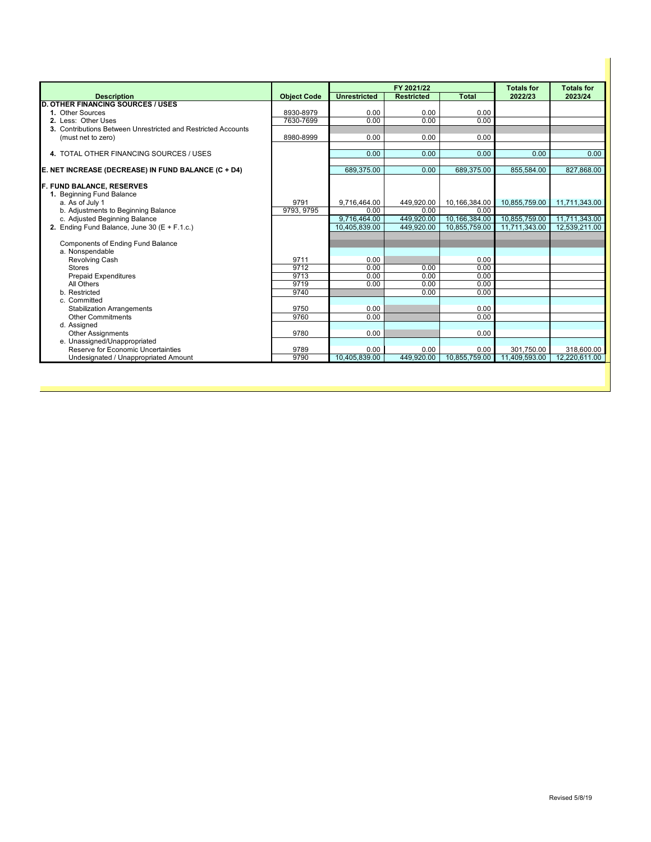|                                                               |                    |                     | FY 2021/22        |               | <b>Totals for</b> | <b>Totals for</b> |
|---------------------------------------------------------------|--------------------|---------------------|-------------------|---------------|-------------------|-------------------|
| <b>Description</b>                                            | <b>Object Code</b> | <b>Unrestricted</b> | <b>Restricted</b> | <b>Total</b>  | 2022/23           | 2023/24           |
| <b>D. OTHER FINANCING SOURCES / USES</b>                      |                    |                     |                   |               |                   |                   |
| 1. Other Sources                                              | 8930-8979          | 0.00                | 0.00              | 0.00          |                   |                   |
| 2. Less: Other Uses                                           | 7630-7699          | 0.00                | 0.00              | 0.00          |                   |                   |
| 3. Contributions Between Unrestricted and Restricted Accounts |                    |                     |                   |               |                   |                   |
| (must net to zero)                                            | 8980-8999          | 0.00                | 0.00              | 0.00          |                   |                   |
|                                                               |                    |                     |                   |               |                   |                   |
| 4. TOTAL OTHER FINANCING SOURCES / USES                       |                    | 0.00                | 0.00              | 0.00          | 0.00              | 0.00              |
| E. NET INCREASE (DECREASE) IN FUND BALANCE (C + D4)           |                    | 689,375.00          | 0.00              | 689,375.00    | 855,584.00        | 827,868.00        |
|                                                               |                    |                     |                   |               |                   |                   |
| <b>F. FUND BALANCE, RESERVES</b>                              |                    |                     |                   |               |                   |                   |
| 1. Beginning Fund Balance                                     |                    |                     |                   |               |                   |                   |
| a. As of July 1                                               | 9791               | 9,716,464.00        | 449.920.00        | 10,166,384.00 | 10.855.759.00     | 11,711,343.00     |
| b. Adjustments to Beginning Balance                           | 9793.9795          | 0.00                | 0.00              | 0.00          |                   |                   |
| c. Adjusted Beginning Balance                                 |                    | 9,716,464.00        | 449,920.00        | 10,166,384.00 | 10,855,759.00     | 11,711,343.00     |
| 2. Ending Fund Balance, June 30 ( $E + F.1.c.$ )              |                    | 10.405.839.00       | 449.920.00        | 10.855.759.00 | 11.711,343.00     | 12.539.211.00     |
|                                                               |                    |                     |                   |               |                   |                   |
| <b>Components of Ending Fund Balance</b>                      |                    |                     |                   |               |                   |                   |
| a. Nonspendable                                               |                    |                     |                   |               |                   |                   |
| Revolving Cash                                                | 9711               | 0.00                |                   | 0.00          |                   |                   |
| <b>Stores</b>                                                 | 9712               | 0.00                | 0.00              | 0.00          |                   |                   |
| <b>Prepaid Expenditures</b>                                   | 9713               | 0.00                | 0.00              | 0.00          |                   |                   |
| All Others<br>b. Restricted                                   | 9719<br>9740       | 0.00                | 0.00<br>0.00      | 0.00<br>0.00  |                   |                   |
| c. Committed                                                  |                    |                     |                   |               |                   |                   |
| <b>Stabilization Arrangements</b>                             | 9750               | 0.00                |                   | 0.00          |                   |                   |
| <b>Other Commitments</b>                                      | 9760               | 0.00                |                   | 0.00          |                   |                   |
| d. Assigned                                                   |                    |                     |                   |               |                   |                   |
| <b>Other Assignments</b>                                      | 9780               | 0.00                |                   | 0.00          |                   |                   |
| e. Unassigned/Unappropriated                                  |                    |                     |                   |               |                   |                   |
| Reserve for Economic Uncertainties                            | 9789               | 0.00                | 0.00              | 0.00          | 301.750.00        | 318,600.00        |
| Undesignated / Unappropriated Amount                          | 9790               | 10.405.839.00       | 449.920.00        | 10.855.759.00 | 11.409.593.00     | 12.220.611.00     |